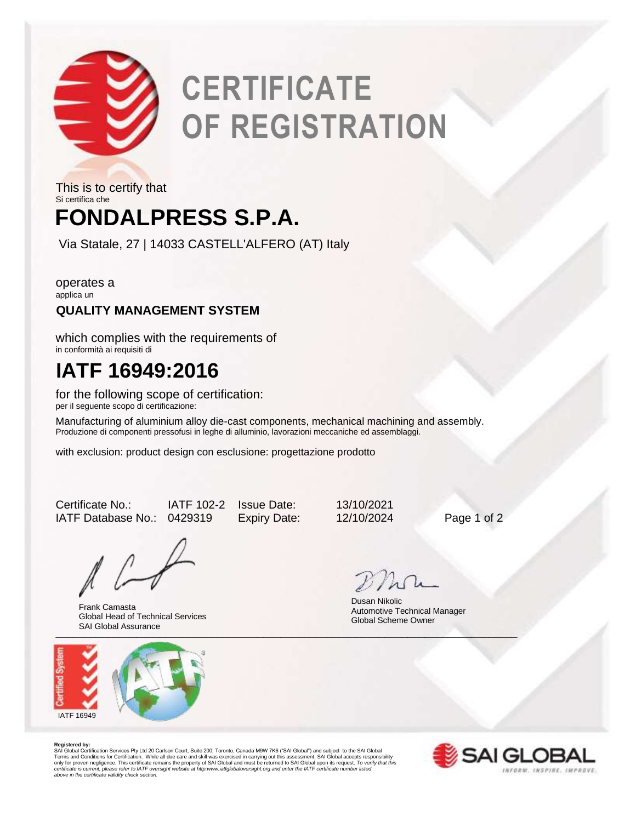

# **CERTIFICATE OF REGISTRATION**

## **FONDALPRESS S.P.A.** This is to certify that Si certifica che

Via Statale, 27 | 14033 CASTELL'ALFERO (AT) Italy

operates a applica un

### **QUALITY MANAGEMENT SYSTEM**

which complies with the requirements of in conformità ai requisiti di

## **IATF 16949:2016**

for the following scope of certification: per il seguente scopo di certificazione:

Manufacturing of aluminium alloy die-cast components, mechanical machining and assembly. Produzione di componenti pressofusi in leghe di alluminio, lavorazioni meccaniche ed assemblaggi.

with exclusion: product design con esclusione: progettazione prodotto

Certificate No.: IATF 102-2 Issue Date: 13/10/2021 IATF Database No.: 0429319 Expiry Date: 12/10/2024 Page 1 of 2

Uni Ulubai Assurance Frank Camasta Global Head of Technical Services SAI Global Assurance



Dusan Nikolic Automotive Technical Manager Global Scheme Owner

**Registered by:**<br>SAI Global Certification Services Pty Ltd 20 Carlson Court, Suite 200; Toronto, Canada M9W 7K6 ("SAI Global") and subject to the SAI Global<br>Terms and Conditions for Certification. While all due care and sk *certificate is current, please refer to IATF oversight website at http:www.iatfglobaloversight.org and enter the IATF certificate number listed above in the certificate validity check section.*